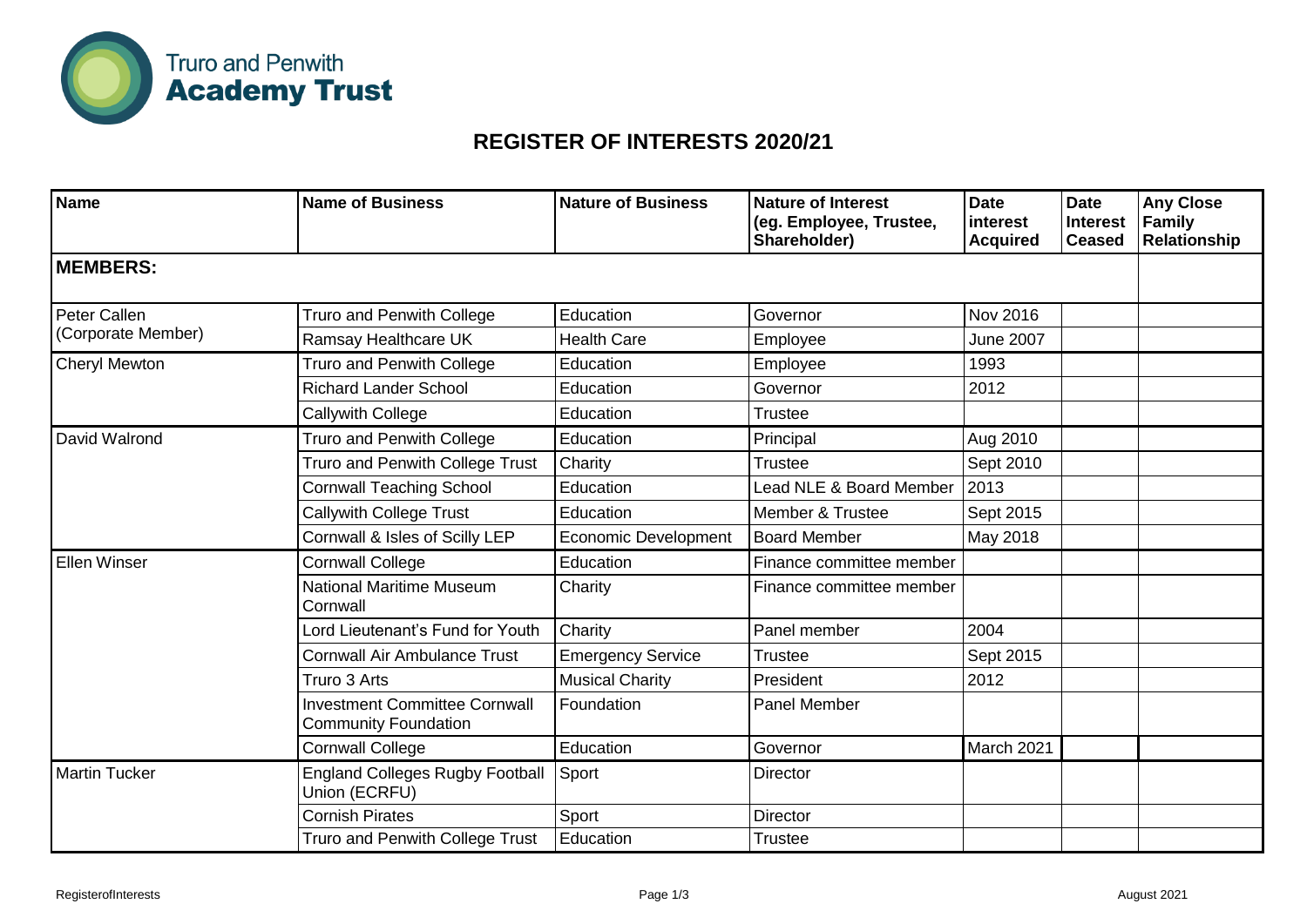

## **REGISTER OF INTERESTS 2020/21**

| <b>Name</b>                        | <b>Name of Business</b>                                             | <b>Nature of Business</b>   | <b>Nature of Interest</b><br>(eg. Employee, Trustee,<br>Shareholder) | <b>Date</b><br>interest<br><b>Acquired</b> | <b>Date</b><br><b>Interest</b><br><b>Ceased</b> | <b>Any Close</b><br>Family<br><b>Relationship</b> |
|------------------------------------|---------------------------------------------------------------------|-----------------------------|----------------------------------------------------------------------|--------------------------------------------|-------------------------------------------------|---------------------------------------------------|
| <b>MEMBERS:</b>                    |                                                                     |                             |                                                                      |                                            |                                                 |                                                   |
| Peter Callen<br>(Corporate Member) | <b>Truro and Penwith College</b>                                    | Education                   | Governor                                                             | Nov 2016                                   |                                                 |                                                   |
|                                    | Ramsay Healthcare UK                                                | <b>Health Care</b>          | Employee                                                             | <b>June 2007</b>                           |                                                 |                                                   |
| <b>Cheryl Mewton</b>               | <b>Truro and Penwith College</b>                                    | Education                   | Employee                                                             | 1993                                       |                                                 |                                                   |
|                                    | <b>Richard Lander School</b>                                        | Education                   | Governor                                                             | 2012                                       |                                                 |                                                   |
|                                    | Callywith College                                                   | Education                   | <b>Trustee</b>                                                       |                                            |                                                 |                                                   |
| David Walrond                      | <b>Truro and Penwith College</b>                                    | Education                   | Principal                                                            | Aug 2010                                   |                                                 |                                                   |
|                                    | Truro and Penwith College Trust                                     | Charity                     | <b>Trustee</b>                                                       | Sept 2010                                  |                                                 |                                                   |
|                                    | <b>Cornwall Teaching School</b>                                     | Education                   | Lead NLE & Board Member                                              | 2013                                       |                                                 |                                                   |
|                                    | <b>Callywith College Trust</b>                                      | Education                   | Member & Trustee                                                     | Sept 2015                                  |                                                 |                                                   |
|                                    | Cornwall & Isles of Scilly LEP                                      | <b>Economic Development</b> | <b>Board Member</b>                                                  | May 2018                                   |                                                 |                                                   |
| <b>Ellen Winser</b>                | <b>Cornwall College</b>                                             | Education                   | Finance committee member                                             |                                            |                                                 |                                                   |
|                                    | <b>National Maritime Museum</b><br>Cornwall                         | Charity                     | Finance committee member                                             |                                            |                                                 |                                                   |
|                                    | Lord Lieutenant's Fund for Youth                                    | Charity                     | Panel member                                                         | 2004                                       |                                                 |                                                   |
|                                    | <b>Cornwall Air Ambulance Trust</b>                                 | <b>Emergency Service</b>    | Trustee                                                              | Sept 2015                                  |                                                 |                                                   |
|                                    | Truro 3 Arts                                                        | <b>Musical Charity</b>      | President                                                            | 2012                                       |                                                 |                                                   |
|                                    | <b>Investment Committee Cornwall</b><br><b>Community Foundation</b> | Foundation                  | Panel Member                                                         |                                            |                                                 |                                                   |
|                                    | <b>Cornwall College</b>                                             | Education                   | Governor                                                             | March 2021                                 |                                                 |                                                   |
| <b>Martin Tucker</b>               | <b>England Colleges Rugby Football</b><br>Union (ECRFU)             | Sport                       | <b>Director</b>                                                      |                                            |                                                 |                                                   |
|                                    | <b>Cornish Pirates</b>                                              | Sport                       | <b>Director</b>                                                      |                                            |                                                 |                                                   |
|                                    | Truro and Penwith College Trust                                     | Education                   | <b>Trustee</b>                                                       |                                            |                                                 |                                                   |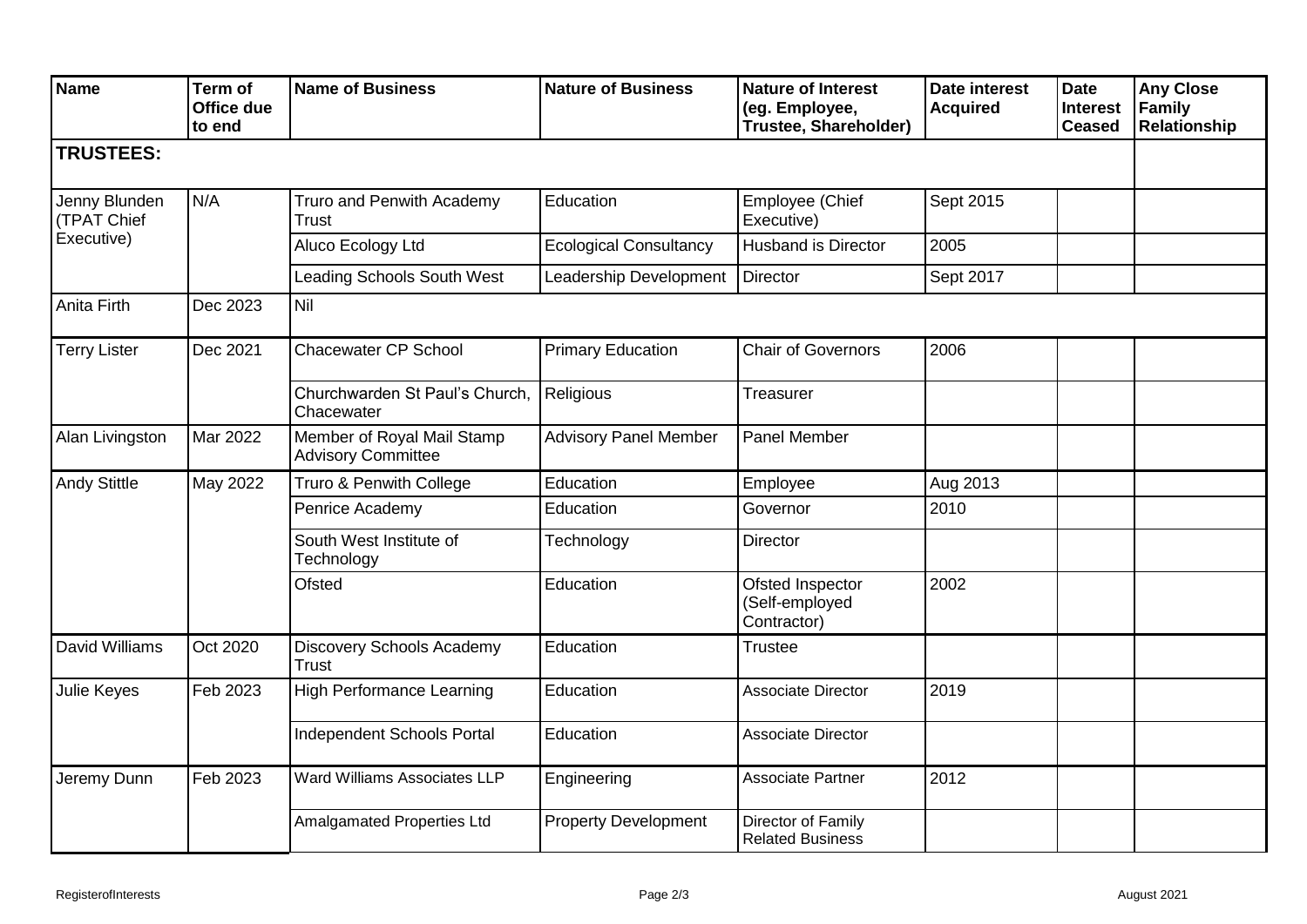| <b>Name</b>                                | Term of<br>Office due<br>to end | <b>Name of Business</b>                                 | <b>Nature of Business</b>     | <b>Nature of Interest</b><br>(eg. Employee,<br>Trustee, Shareholder) | <b>Date interest</b><br><b>Acquired</b> | <b>Date</b><br><b>Interest</b><br><b>Ceased</b> | <b>Any Close</b><br>Family<br><b>Relationship</b> |
|--------------------------------------------|---------------------------------|---------------------------------------------------------|-------------------------------|----------------------------------------------------------------------|-----------------------------------------|-------------------------------------------------|---------------------------------------------------|
| <b>TRUSTEES:</b>                           |                                 |                                                         |                               |                                                                      |                                         |                                                 |                                                   |
| Jenny Blunden<br>(TPAT Chief<br>Executive) | N/A                             | Truro and Penwith Academy<br>Trust                      | Education                     | Employee (Chief<br>Executive)                                        | Sept 2015                               |                                                 |                                                   |
|                                            |                                 | Aluco Ecology Ltd                                       | <b>Ecological Consultancy</b> | <b>Husband is Director</b>                                           | 2005                                    |                                                 |                                                   |
|                                            |                                 | <b>Leading Schools South West</b>                       | Leadership Development        | Director                                                             | Sept 2017                               |                                                 |                                                   |
| Anita Firth                                | Dec 2023                        | Nil                                                     |                               |                                                                      |                                         |                                                 |                                                   |
| <b>Terry Lister</b>                        | Dec 2021                        | <b>Chacewater CP School</b>                             | <b>Primary Education</b>      | <b>Chair of Governors</b>                                            | 2006                                    |                                                 |                                                   |
|                                            |                                 | Churchwarden St Paul's Church,<br>Chacewater            | Religious                     | Treasurer                                                            |                                         |                                                 |                                                   |
| Alan Livingston                            | Mar 2022                        | Member of Royal Mail Stamp<br><b>Advisory Committee</b> | <b>Advisory Panel Member</b>  | Panel Member                                                         |                                         |                                                 |                                                   |
| <b>Andy Stittle</b>                        | May 2022                        | Truro & Penwith College                                 | Education                     | Employee                                                             | Aug 2013                                |                                                 |                                                   |
|                                            |                                 | Penrice Academy                                         | Education                     | Governor                                                             | 2010                                    |                                                 |                                                   |
|                                            |                                 | South West Institute of<br>Technology                   | Technology                    | <b>Director</b>                                                      |                                         |                                                 |                                                   |
|                                            |                                 | Ofsted                                                  | Education                     | Ofsted Inspector<br>(Self-employed<br>Contractor)                    | 2002                                    |                                                 |                                                   |
| David Williams                             | Oct 2020                        | Discovery Schools Academy<br><b>Trust</b>               | Education                     | <b>Trustee</b>                                                       |                                         |                                                 |                                                   |
| <b>Julie Keyes</b>                         | Feb 2023                        | <b>High Performance Learning</b>                        | Education                     | Associate Director                                                   | 2019                                    |                                                 |                                                   |
|                                            |                                 | <b>Independent Schools Portal</b>                       | Education                     | <b>Associate Director</b>                                            |                                         |                                                 |                                                   |
| Jeremy Dunn                                | Feb 2023                        | Ward Williams Associates LLP                            | Engineering                   | Associate Partner                                                    | 2012                                    |                                                 |                                                   |
|                                            |                                 | Amalgamated Properties Ltd                              | <b>Property Development</b>   | Director of Family<br><b>Related Business</b>                        |                                         |                                                 |                                                   |